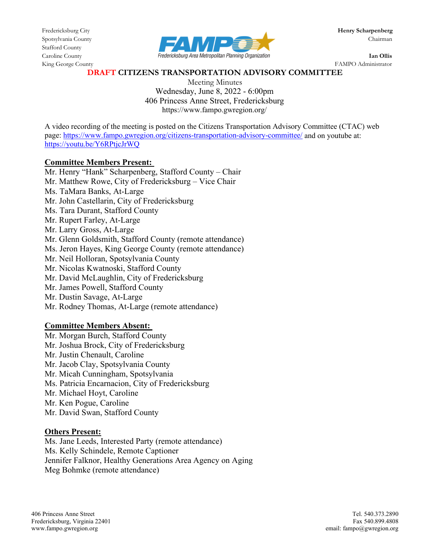Stafford County



King George County FAMPO Administrator

#### **DRAFT CITIZENS TRANSPORTATION ADVISORY COMMITTEE**

Meeting Minutes Wednesday, June 8, 2022 - 6:00pm 406 Princess Anne Street, Fredericksburg https://www.fampo.gwregion.org/

A video recording of the meeting is posted on the Citizens Transportation Advisory Committee (CTAC) web page[: https://www.fampo.gwregion.org/citizens-transportation-advisory-committee/](https://www.fampo.gwregion.org/citizens-transportation-advisory-committee/) and on youtube at: <https://youtu.be/Y6RPtjcJrWQ>

#### **Committee Members Present:**

Mr. Henry "Hank" Scharpenberg, Stafford County – Chair Mr. Matthew Rowe, City of Fredericksburg – Vice Chair Ms. TaMara Banks, At-Large Mr. John Castellarin, City of Fredericksburg Ms. Tara Durant, Stafford County Mr. Rupert Farley, At-Large Mr. Larry Gross, At-Large Mr. Glenn Goldsmith, Stafford County (remote attendance) Ms. Jeron Hayes, King George County (remote attendance) Mr. Neil Holloran, Spotsylvania County Mr. Nicolas Kwatnoski, Stafford County Mr. David McLaughlin, City of Fredericksburg Mr. James Powell, Stafford County Mr. Dustin Savage, At-Large Mr. Rodney Thomas, At-Large (remote attendance)

### **Committee Members Absent:**

Mr. Morgan Burch, Stafford County Mr. Joshua Brock, City of Fredericksburg Mr. Justin Chenault, Caroline Mr. Jacob Clay, Spotsylvania County Mr. Micah Cunningham, Spotsylvania Ms. Patricia Encarnacion, City of Fredericksburg Mr. Michael Hoyt, Caroline Mr. Ken Pogue, Caroline Mr. David Swan, Stafford County

#### **Others Present:**

Ms. Jane Leeds, Interested Party (remote attendance) Ms. Kelly Schindele, Remote Captioner Jennifer Falknor, Healthy Generations Area Agency on Aging Meg Bohmke (remote attendance)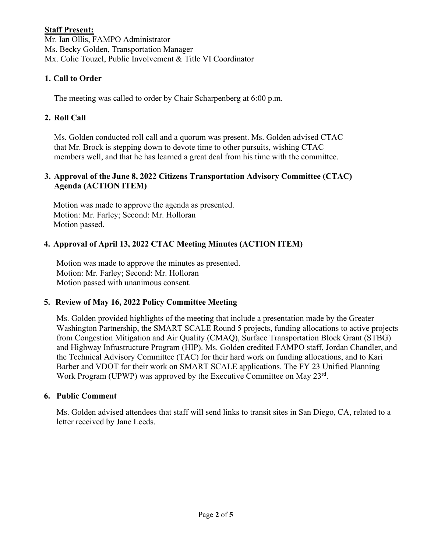## **Staff Present:**

Mr. Ian Ollis, FAMPO Administrator Ms. Becky Golden, Transportation Manager Mx. Colie Touzel, Public Involvement & Title VI Coordinator

# **1. Call to Order**

The meeting was called to order by Chair Scharpenberg at 6:00 p.m.

## **2. Roll Call**

Ms. Golden conducted roll call and a quorum was present. Ms. Golden advised CTAC that Mr. Brock is stepping down to devote time to other pursuits, wishing CTAC members well, and that he has learned a great deal from his time with the committee.

### **3. Approval of the June 8, 2022 Citizens Transportation Advisory Committee (CTAC) Agenda (ACTION ITEM)**

Motion was made to approve the agenda as presented. Motion: Mr. Farley; Second: Mr. Holloran Motion passed.

# **4. Approval of April 13, 2022 CTAC Meeting Minutes (ACTION ITEM)**

Motion was made to approve the minutes as presented. Motion: Mr. Farley; Second: Mr. Holloran Motion passed with unanimous consent.

# **5. Review of May 16, 2022 Policy Committee Meeting**

Ms. Golden provided highlights of the meeting that include a presentation made by the Greater Washington Partnership, the SMART SCALE Round 5 projects, funding allocations to active projects from Congestion Mitigation and Air Quality (CMAQ), Surface Transportation Block Grant (STBG) and Highway Infrastructure Program (HIP). Ms. Golden credited FAMPO staff, Jordan Chandler, and the Technical Advisory Committee (TAC) for their hard work on funding allocations, and to Kari Barber and VDOT for their work on SMART SCALE applications. The FY 23 Unified Planning Work Program (UPWP) was approved by the Executive Committee on May 23<sup>rd</sup>.

### **6. Public Comment**

Ms. Golden advised attendees that staff will send links to transit sites in San Diego, CA, related to a letter received by Jane Leeds.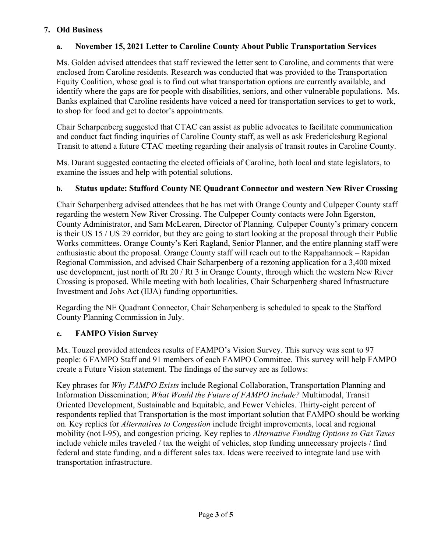## **7. Old Business**

## **a. November 15, 2021 Letter to Caroline County About Public Transportation Services**

Ms. Golden advised attendees that staff reviewed the letter sent to Caroline, and comments that were enclosed from Caroline residents. Research was conducted that was provided to the Transportation Equity Coalition, whose goal is to find out what transportation options are currently available, and identify where the gaps are for people with disabilities, seniors, and other vulnerable populations. Ms. Banks explained that Caroline residents have voiced a need for transportation services to get to work, to shop for food and get to doctor's appointments.

Chair Scharpenberg suggested that CTAC can assist as public advocates to facilitate communication and conduct fact finding inquiries of Caroline County staff, as well as ask Fredericksburg Regional Transit to attend a future CTAC meeting regarding their analysis of transit routes in Caroline County.

Ms. Durant suggested contacting the elected officials of Caroline, both local and state legislators, to examine the issues and help with potential solutions.

## **b. Status update: Stafford County NE Quadrant Connector and western New River Crossing**

Chair Scharpenberg advised attendees that he has met with Orange County and Culpeper County staff regarding the western New River Crossing. The Culpeper County contacts were John Egerston, County Administrator, and Sam McLearen, Director of Planning. Culpeper County's primary concern is their US 15 / US 29 corridor, but they are going to start looking at the proposal through their Public Works committees. Orange County's Keri Ragland, Senior Planner, and the entire planning staff were enthusiastic about the proposal. Orange County staff will reach out to the Rappahannock – Rapidan Regional Commission, and advised Chair Scharpenberg of a rezoning application for a 3,400 mixed use development, just north of Rt 20 / Rt 3 in Orange County, through which the western New River Crossing is proposed. While meeting with both localities, Chair Scharpenberg shared Infrastructure Investment and Jobs Act (IIJA) funding opportunities.

Regarding the NE Quadrant Connector, Chair Scharpenberg is scheduled to speak to the Stafford County Planning Commission in July.

### **c. FAMPO Vision Survey**

Mx. Touzel provided attendees results of FAMPO's Vision Survey. This survey was sent to 97 people: 6 FAMPO Staff and 91 members of each FAMPO Committee. This survey will help FAMPO create a Future Vision statement. The findings of the survey are as follows:

Key phrases for *Why FAMPO Exists* include Regional Collaboration, Transportation Planning and Information Dissemination; *What Would the Future of FAMPO include?* Multimodal, Transit Oriented Development, Sustainable and Equitable, and Fewer Vehicles. Thirty-eight percent of respondents replied that Transportation is the most important solution that FAMPO should be working on. Key replies for *Alternatives to Congestion* include freight improvements, local and regional mobility (not I-95), and congestion pricing. Key replies to *Alternative Funding Options to Gas Taxes* include vehicle miles traveled / tax the weight of vehicles, stop funding unnecessary projects / find federal and state funding, and a different sales tax. Ideas were received to integrate land use with transportation infrastructure.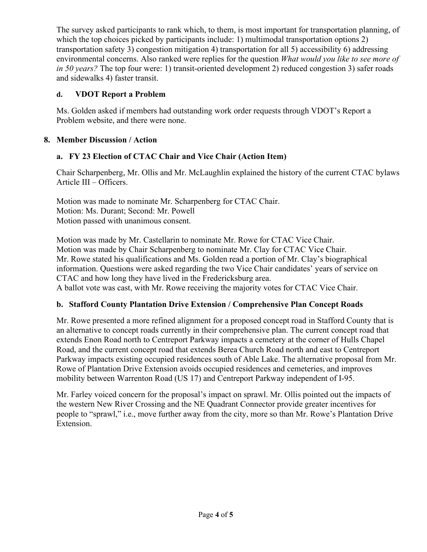The survey asked participants to rank which, to them, is most important for transportation planning, of which the top choices picked by participants include: 1) multimodal transportation options 2) transportation safety 3) congestion mitigation 4) transportation for all 5) accessibility 6) addressing environmental concerns. Also ranked were replies for the question *What would you like to see more of in 50 years?* The top four were: 1) transit-oriented development 2) reduced congestion 3) safer roads and sidewalks 4) faster transit.

# **d. VDOT Report a Problem**

Ms. Golden asked if members had outstanding work order requests through VDOT's Report a Problem website, and there were none.

## **8. Member Discussion / Action**

## **a. FY 23 Election of CTAC Chair and Vice Chair (Action Item)**

Chair Scharpenberg, Mr. Ollis and Mr. McLaughlin explained the history of the current CTAC bylaws Article III – Officers.

Motion was made to nominate Mr. Scharpenberg for CTAC Chair. Motion: Ms. Durant; Second: Mr. Powell Motion passed with unanimous consent.

Motion was made by Mr. Castellarin to nominate Mr. Rowe for CTAC Vice Chair. Motion was made by Chair Scharpenberg to nominate Mr. Clay for CTAC Vice Chair. Mr. Rowe stated his qualifications and Ms. Golden read a portion of Mr. Clay's biographical information. Questions were asked regarding the two Vice Chair candidates' years of service on CTAC and how long they have lived in the Fredericksburg area. A ballot vote was cast, with Mr. Rowe receiving the majority votes for CTAC Vice Chair.

### **b. Stafford County Plantation Drive Extension / Comprehensive Plan Concept Roads**

Mr. Rowe presented a more refined alignment for a proposed concept road in Stafford County that is an alternative to concept roads currently in their comprehensive plan. The current concept road that extends Enon Road north to Centreport Parkway impacts a cemetery at the corner of Hulls Chapel Road, and the current concept road that extends Berea Church Road north and east to Centreport Parkway impacts existing occupied residences south of Able Lake. The alternative proposal from Mr. Rowe of Plantation Drive Extension avoids occupied residences and cemeteries, and improves mobility between Warrenton Road (US 17) and Centreport Parkway independent of I-95.

Mr. Farley voiced concern for the proposal's impact on sprawl. Mr. Ollis pointed out the impacts of the western New River Crossing and the NE Quadrant Connector provide greater incentives for people to "sprawl," i.e., move further away from the city, more so than Mr. Rowe's Plantation Drive Extension.